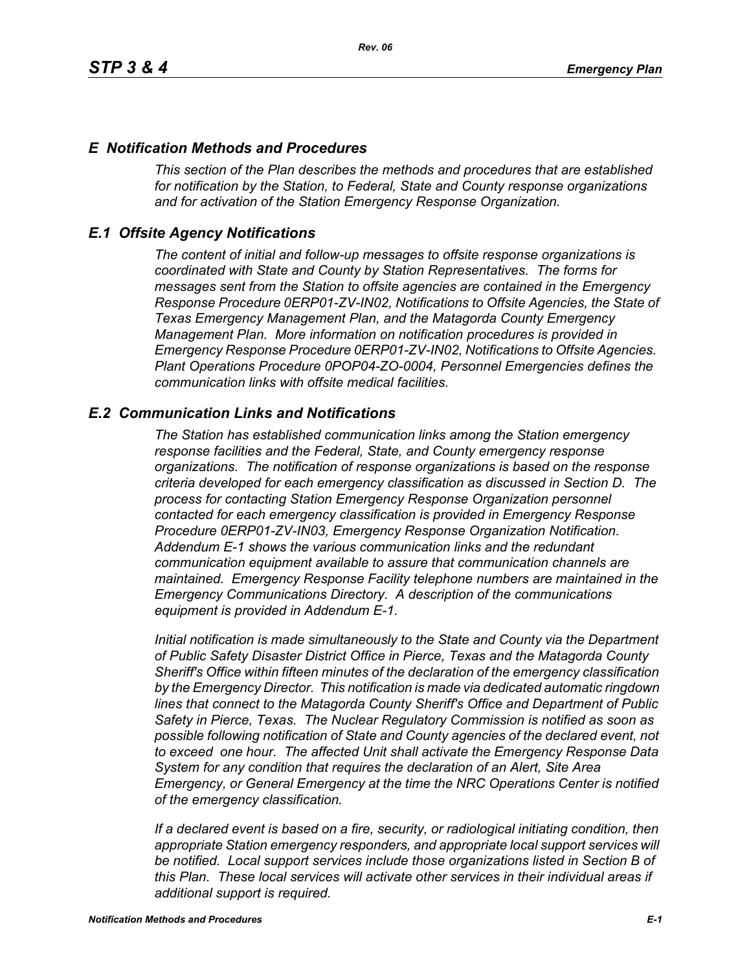### *E Notification Methods and Procedures*

*This section of the Plan describes the methods and procedures that are established for notification by the Station, to Federal, State and County response organizations and for activation of the Station Emergency Response Organization.*

## *E.1 Offsite Agency Notifications*

*The content of initial and follow-up messages to offsite response organizations is coordinated with State and County by Station Representatives. The forms for messages sent from the Station to offsite agencies are contained in the Emergency Response Procedure 0ERP01-ZV-IN02, Notifications to Offsite Agencies, the State of Texas Emergency Management Plan, and the Matagorda County Emergency Management Plan. More information on notification procedures is provided in Emergency Response Procedure 0ERP01-ZV-IN02, Notifications to Offsite Agencies. Plant Operations Procedure 0POP04-ZO-0004, Personnel Emergencies defines the communication links with offsite medical facilities.*

## *E.2 Communication Links and Notifications*

*The Station has established communication links among the Station emergency response facilities and the Federal, State, and County emergency response organizations. The notification of response organizations is based on the response criteria developed for each emergency classification as discussed in Section D. The process for contacting Station Emergency Response Organization personnel contacted for each emergency classification is provided in Emergency Response Procedure 0ERP01-ZV-IN03, Emergency Response Organization Notification. Addendum E-1 shows the various communication links and the redundant communication equipment available to assure that communication channels are maintained. Emergency Response Facility telephone numbers are maintained in the Emergency Communications Directory. A description of the communications equipment is provided in Addendum E-1.*

*Initial notification is made simultaneously to the State and County via the Department of Public Safety Disaster District Office in Pierce, Texas and the Matagorda County Sheriff's Office within fifteen minutes of the declaration of the emergency classification by the Emergency Director. This notification is made via dedicated automatic ringdown lines that connect to the Matagorda County Sheriff's Office and Department of Public Safety in Pierce, Texas. The Nuclear Regulatory Commission is notified as soon as possible following notification of State and County agencies of the declared event, not to exceed one hour. The affected Unit shall activate the Emergency Response Data System for any condition that requires the declaration of an Alert, Site Area Emergency, or General Emergency at the time the NRC Operations Center is notified of the emergency classification.*

*If a declared event is based on a fire, security, or radiological initiating condition, then appropriate Station emergency responders, and appropriate local support services will be notified. Local support services include those organizations listed in Section B of this Plan. These local services will activate other services in their individual areas if additional support is required.*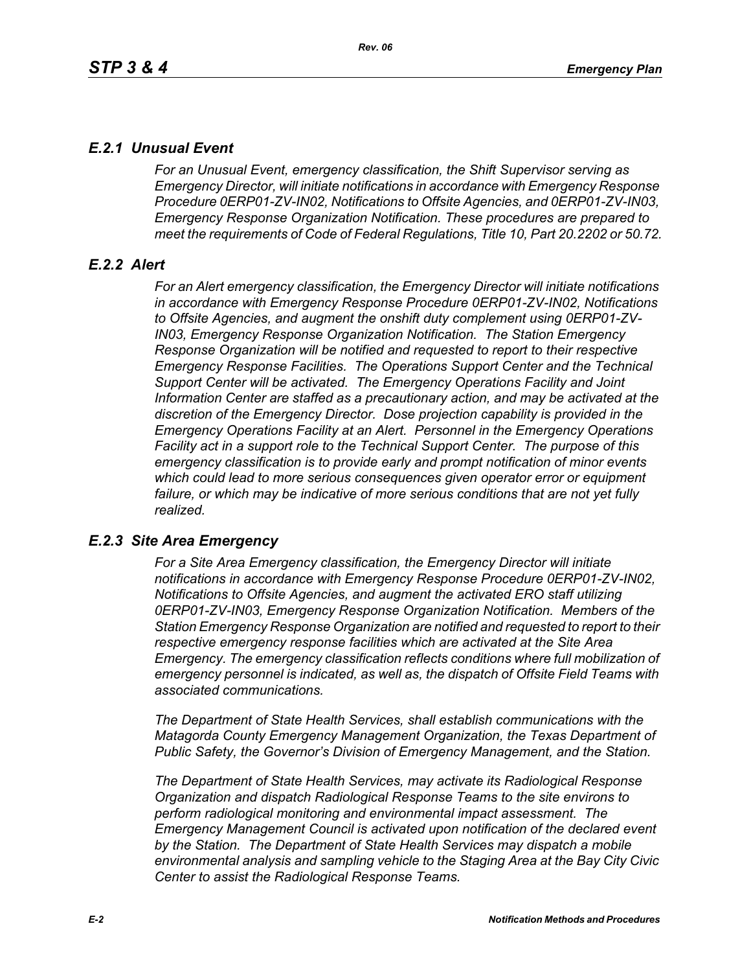# *E.2.1 Unusual Event*

*For an Unusual Event, emergency classification, the Shift Supervisor serving as Emergency Director, will initiate notifications in accordance with Emergency Response Procedure 0ERP01-ZV-IN02, Notifications to Offsite Agencies, and 0ERP01-ZV-IN03, Emergency Response Organization Notification. These procedures are prepared to meet the requirements of Code of Federal Regulations, Title 10, Part 20.2202 or 50.72.*

# *E.2.2 Alert*

*For an Alert emergency classification, the Emergency Director will initiate notifications in accordance with Emergency Response Procedure 0ERP01-ZV-IN02, Notifications to Offsite Agencies, and augment the onshift duty complement using 0ERP01-ZV-IN03, Emergency Response Organization Notification. The Station Emergency Response Organization will be notified and requested to report to their respective Emergency Response Facilities. The Operations Support Center and the Technical Support Center will be activated. The Emergency Operations Facility and Joint Information Center are staffed as a precautionary action, and may be activated at the discretion of the Emergency Director. Dose projection capability is provided in the Emergency Operations Facility at an Alert. Personnel in the Emergency Operations Facility act in a support role to the Technical Support Center. The purpose of this emergency classification is to provide early and prompt notification of minor events which could lead to more serious consequences given operator error or equipment*  failure, or which may be indicative of more serious conditions that are not yet fully *realized.*

# *E.2.3 Site Area Emergency*

*For a Site Area Emergency classification, the Emergency Director will initiate notifications in accordance with Emergency Response Procedure 0ERP01-ZV-IN02, Notifications to Offsite Agencies, and augment the activated ERO staff utilizing 0ERP01-ZV-IN03, Emergency Response Organization Notification. Members of the Station Emergency Response Organization are notified and requested to report to their respective emergency response facilities which are activated at the Site Area Emergency. The emergency classification reflects conditions where full mobilization of emergency personnel is indicated, as well as, the dispatch of Offsite Field Teams with associated communications.*

*The Department of State Health Services, shall establish communications with the Matagorda County Emergency Management Organization, the Texas Department of Public Safety, the Governor's Division of Emergency Management, and the Station.* 

*The Department of State Health Services, may activate its Radiological Response Organization and dispatch Radiological Response Teams to the site environs to perform radiological monitoring and environmental impact assessment. The Emergency Management Council is activated upon notification of the declared event by the Station. The Department of State Health Services may dispatch a mobile environmental analysis and sampling vehicle to the Staging Area at the Bay City Civic Center to assist the Radiological Response Teams.*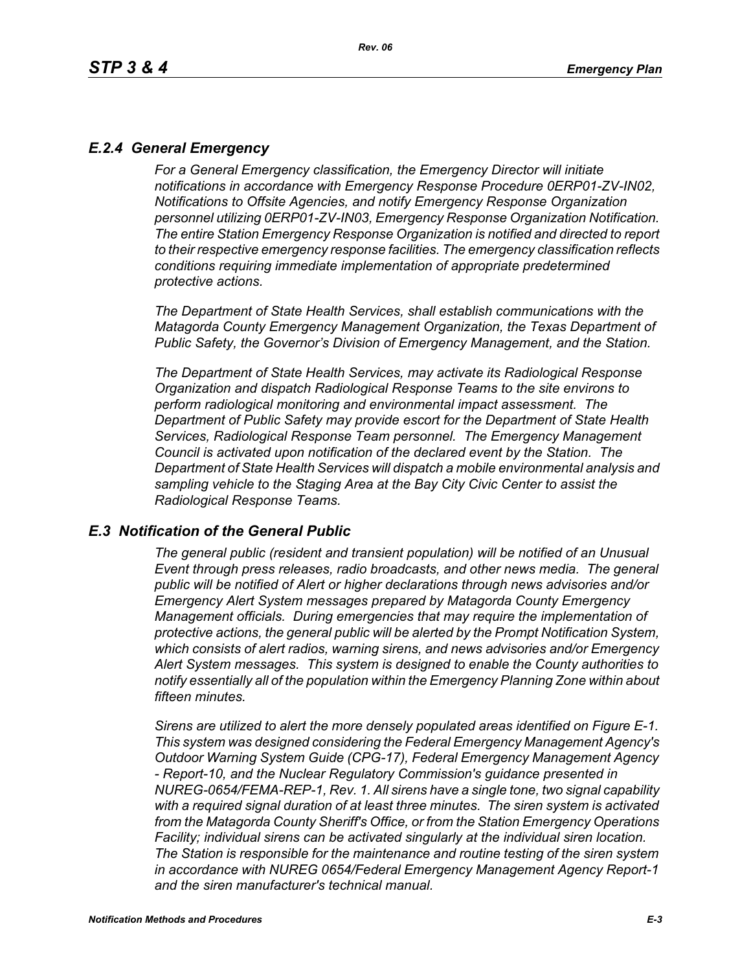# *E.2.4 General Emergency*

*For a General Emergency classification, the Emergency Director will initiate notifications in accordance with Emergency Response Procedure 0ERP01-ZV-IN02, Notifications to Offsite Agencies, and notify Emergency Response Organization personnel utilizing 0ERP01-ZV-IN03, Emergency Response Organization Notification. The entire Station Emergency Response Organization is notified and directed to report to their respective emergency response facilities. The emergency classification reflects conditions requiring immediate implementation of appropriate predetermined protective actions.*

*The Department of State Health Services, shall establish communications with the Matagorda County Emergency Management Organization, the Texas Department of Public Safety, the Governor's Division of Emergency Management, and the Station.*

*The Department of State Health Services, may activate its Radiological Response Organization and dispatch Radiological Response Teams to the site environs to perform radiological monitoring and environmental impact assessment. The Department of Public Safety may provide escort for the Department of State Health Services, Radiological Response Team personnel. The Emergency Management Council is activated upon notification of the declared event by the Station. The Department of State Health Services will dispatch a mobile environmental analysis and sampling vehicle to the Staging Area at the Bay City Civic Center to assist the Radiological Response Teams.*

#### *E.3 Notification of the General Public*

*The general public (resident and transient population) will be notified of an Unusual Event through press releases, radio broadcasts, and other news media. The general public will be notified of Alert or higher declarations through news advisories and/or Emergency Alert System messages prepared by Matagorda County Emergency Management officials. During emergencies that may require the implementation of protective actions, the general public will be alerted by the Prompt Notification System, which consists of alert radios, warning sirens, and news advisories and/or Emergency Alert System messages. This system is designed to enable the County authorities to notify essentially all of the population within the Emergency Planning Zone within about fifteen minutes.* 

*Sirens are utilized to alert the more densely populated areas identified on Figure E-1. This system was designed considering the Federal Emergency Management Agency's Outdoor Warning System Guide (CPG-17), Federal Emergency Management Agency - Report-10, and the Nuclear Regulatory Commission's guidance presented in NUREG-0654/FEMA-REP-1, Rev. 1. All sirens have a single tone, two signal capability with a required signal duration of at least three minutes. The siren system is activated from the Matagorda County Sheriff's Office, or from the Station Emergency Operations Facility; individual sirens can be activated singularly at the individual siren location. The Station is responsible for the maintenance and routine testing of the siren system in accordance with NUREG 0654/Federal Emergency Management Agency Report-1 and the siren manufacturer's technical manual.*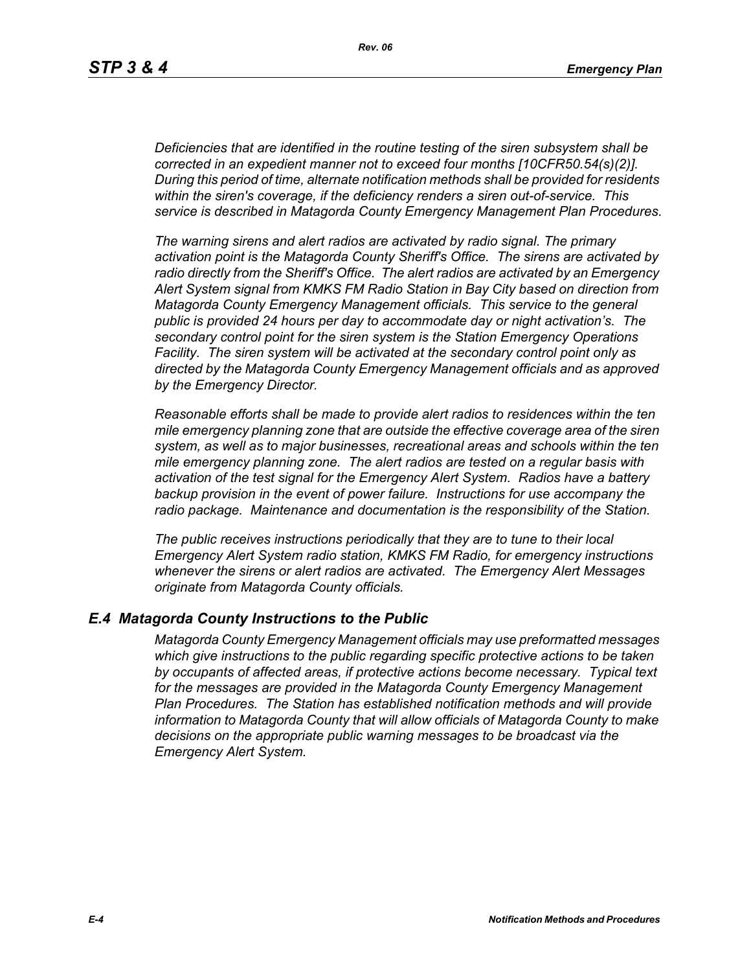*Deficiencies that are identified in the routine testing of the siren subsystem shall be corrected in an expedient manner not to exceed four months [10CFR50.54(s)(2)]. During this period of time, alternate notification methods shall be provided for residents within the siren's coverage, if the deficiency renders a siren out-of-service. This service is described in Matagorda County Emergency Management Plan Procedures.*

*The warning sirens and alert radios are activated by radio signal. The primary activation point is the Matagorda County Sheriff's Office. The sirens are activated by radio directly from the Sheriff's Office. The alert radios are activated by an Emergency Alert System signal from KMKS FM Radio Station in Bay City based on direction from Matagorda County Emergency Management officials. This service to the general public is provided 24 hours per day to accommodate day or night activation's. The secondary control point for the siren system is the Station Emergency Operations Facility. The siren system will be activated at the secondary control point only as directed by the Matagorda County Emergency Management officials and as approved by the Emergency Director.* 

*Reasonable efforts shall be made to provide alert radios to residences within the ten mile emergency planning zone that are outside the effective coverage area of the siren system, as well as to major businesses, recreational areas and schools within the ten mile emergency planning zone. The alert radios are tested on a regular basis with activation of the test signal for the Emergency Alert System. Radios have a battery backup provision in the event of power failure. Instructions for use accompany the radio package. Maintenance and documentation is the responsibility of the Station.* 

*The public receives instructions periodically that they are to tune to their local Emergency Alert System radio station, KMKS FM Radio, for emergency instructions whenever the sirens or alert radios are activated. The Emergency Alert Messages originate from Matagorda County officials.* 

#### *E.4 Matagorda County Instructions to the Public*

*Matagorda County Emergency Management officials may use preformatted messages which give instructions to the public regarding specific protective actions to be taken by occupants of affected areas, if protective actions become necessary. Typical text for the messages are provided in the Matagorda County Emergency Management Plan Procedures. The Station has established notification methods and will provide information to Matagorda County that will allow officials of Matagorda County to make decisions on the appropriate public warning messages to be broadcast via the Emergency Alert System.*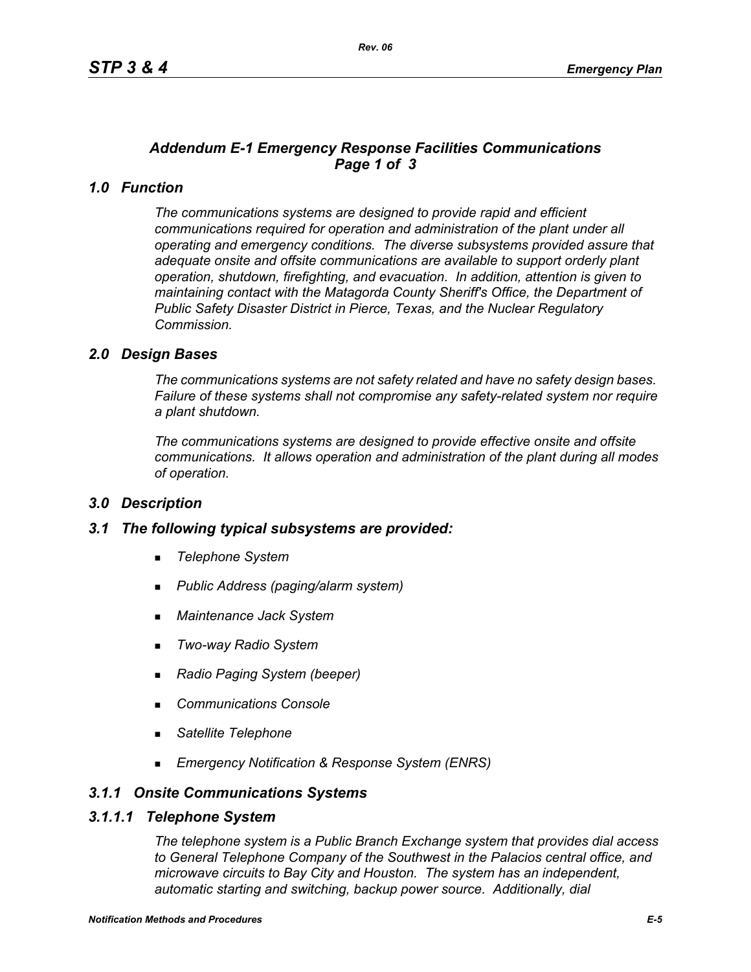# *Addendum E-1 Emergency Response Facilities Communications Page 1 of 3*

# *1.0 Function*

*The communications systems are designed to provide rapid and efficient communications required for operation and administration of the plant under all operating and emergency conditions. The diverse subsystems provided assure that adequate onsite and offsite communications are available to support orderly plant operation, shutdown, firefighting, and evacuation. In addition, attention is given to maintaining contact with the Matagorda County Sheriff's Office, the Department of Public Safety Disaster District in Pierce, Texas, and the Nuclear Regulatory Commission.*

## *2.0 Design Bases*

*The communications systems are not safety related and have no safety design bases. Failure of these systems shall not compromise any safety-related system nor require a plant shutdown.*

*The communications systems are designed to provide effective onsite and offsite communications. It allows operation and administration of the plant during all modes of operation.*

#### *3.0 Description*

#### *3.1 The following typical subsystems are provided:*

- *Telephone System*
- *Public Address (paging/alarm system)*
- *Maintenance Jack System*
- *Two-way Radio System*
- *Radio Paging System (beeper)*
- *Communications Console*
- *Satellite Telephone*
- *Emergency Notification & Response System (ENRS)*

#### *3.1.1 Onsite Communications Systems*

#### *3.1.1.1 Telephone System*

*The telephone system is a Public Branch Exchange system that provides dial access to General Telephone Company of the Southwest in the Palacios central office, and microwave circuits to Bay City and Houston. The system has an independent, automatic starting and switching, backup power source. Additionally, dial*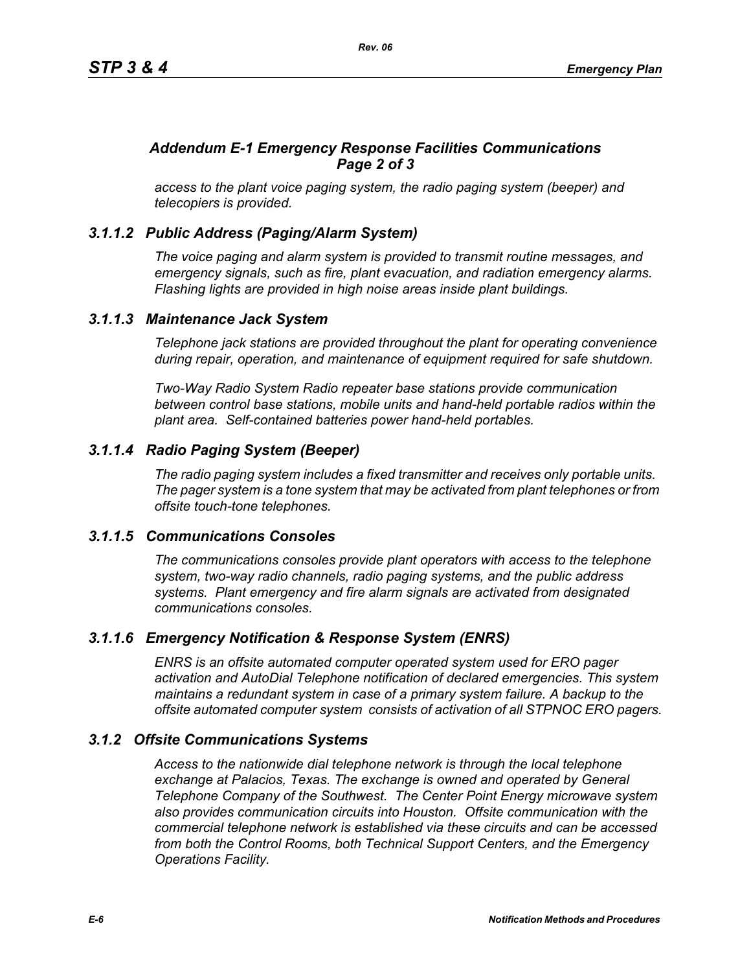# *Addendum E-1 Emergency Response Facilities Communications Page 2 of 3*

*access to the plant voice paging system, the radio paging system (beeper) and telecopiers is provided.*

# *3.1.1.2 Public Address (Paging/Alarm System)*

*The voice paging and alarm system is provided to transmit routine messages, and emergency signals, such as fire, plant evacuation, and radiation emergency alarms. Flashing lights are provided in high noise areas inside plant buildings.*

## *3.1.1.3 Maintenance Jack System*

*Telephone jack stations are provided throughout the plant for operating convenience during repair, operation, and maintenance of equipment required for safe shutdown.* 

*Two-Way Radio System Radio repeater base stations provide communication between control base stations, mobile units and hand-held portable radios within the plant area. Self-contained batteries power hand-held portables.* 

# *3.1.1.4 Radio Paging System (Beeper)*

*The radio paging system includes a fixed transmitter and receives only portable units. The pager system is a tone system that may be activated from plant telephones or from offsite touch-tone telephones.* 

#### *3.1.1.5 Communications Consoles*

*The communications consoles provide plant operators with access to the telephone system, two-way radio channels, radio paging systems, and the public address systems. Plant emergency and fire alarm signals are activated from designated communications consoles.*

# *3.1.1.6 Emergency Notification & Response System (ENRS)*

*ENRS is an offsite automated computer operated system used for ERO pager activation and AutoDial Telephone notification of declared emergencies. This system maintains a redundant system in case of a primary system failure. A backup to the offsite automated computer system consists of activation of all STPNOC ERO pagers.*

# *3.1.2 Offsite Communications Systems*

*Access to the nationwide dial telephone network is through the local telephone exchange at Palacios, Texas. The exchange is owned and operated by General Telephone Company of the Southwest. The Center Point Energy microwave system also provides communication circuits into Houston. Offsite communication with the commercial telephone network is established via these circuits and can be accessed from both the Control Rooms, both Technical Support Centers, and the Emergency Operations Facility.*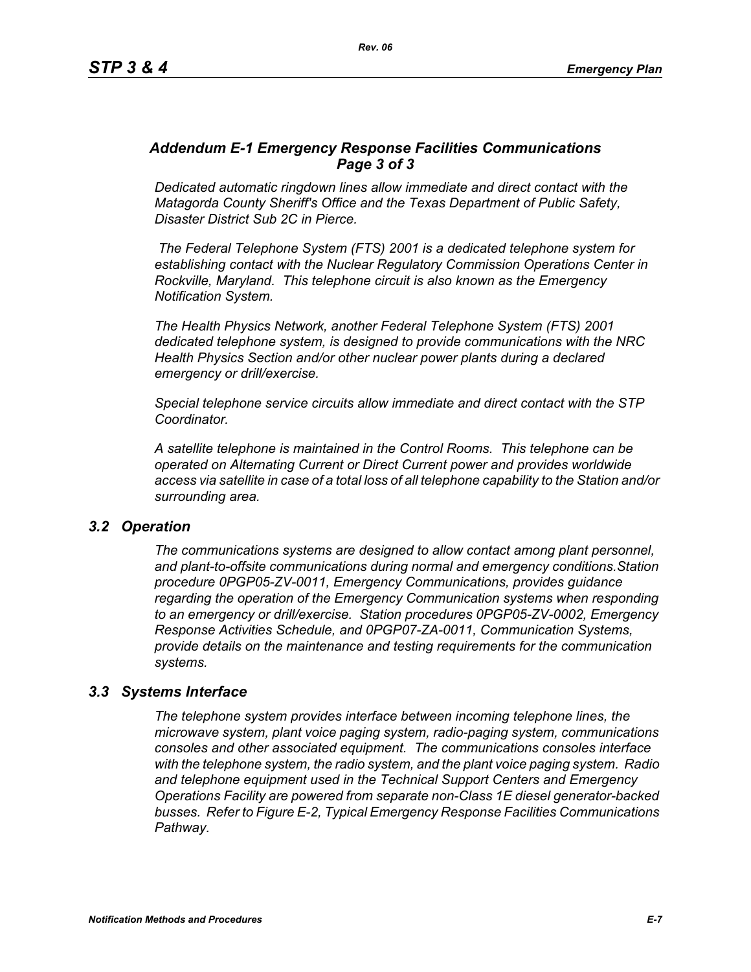## *Addendum E-1 Emergency Response Facilities Communications Page 3 of 3*

*Dedicated automatic ringdown lines allow immediate and direct contact with the Matagorda County Sheriff's Office and the Texas Department of Public Safety, Disaster District Sub 2C in Pierce.*

 *The Federal Telephone System (FTS) 2001 is a dedicated telephone system for establishing contact with the Nuclear Regulatory Commission Operations Center in Rockville, Maryland. This telephone circuit is also known as the Emergency Notification System.*

*The Health Physics Network, another Federal Telephone System (FTS) 2001 dedicated telephone system, is designed to provide communications with the NRC Health Physics Section and/or other nuclear power plants during a declared emergency or drill/exercise.*

*Special telephone service circuits allow immediate and direct contact with the STP Coordinator.*

*A satellite telephone is maintained in the Control Rooms. This telephone can be operated on Alternating Current or Direct Current power and provides worldwide access via satellite in case of a total loss of all telephone capability to the Station and/or surrounding area.*

#### *3.2 Operation*

*The communications systems are designed to allow contact among plant personnel, and plant-to-offsite communications during normal and emergency conditions.Station procedure 0PGP05-ZV-0011, Emergency Communications, provides guidance regarding the operation of the Emergency Communication systems when responding to an emergency or drill/exercise. Station procedures 0PGP05-ZV-0002, Emergency Response Activities Schedule, and 0PGP07-ZA-0011, Communication Systems, provide details on the maintenance and testing requirements for the communication systems.*

#### *3.3 Systems Interface*

*The telephone system provides interface between incoming telephone lines, the microwave system, plant voice paging system, radio-paging system, communications consoles and other associated equipment. The communications consoles interface with the telephone system, the radio system, and the plant voice paging system. Radio and telephone equipment used in the Technical Support Centers and Emergency Operations Facility are powered from separate non-Class 1E diesel generator-backed busses. Refer to Figure E-2, Typical Emergency Response Facilities Communications Pathway.*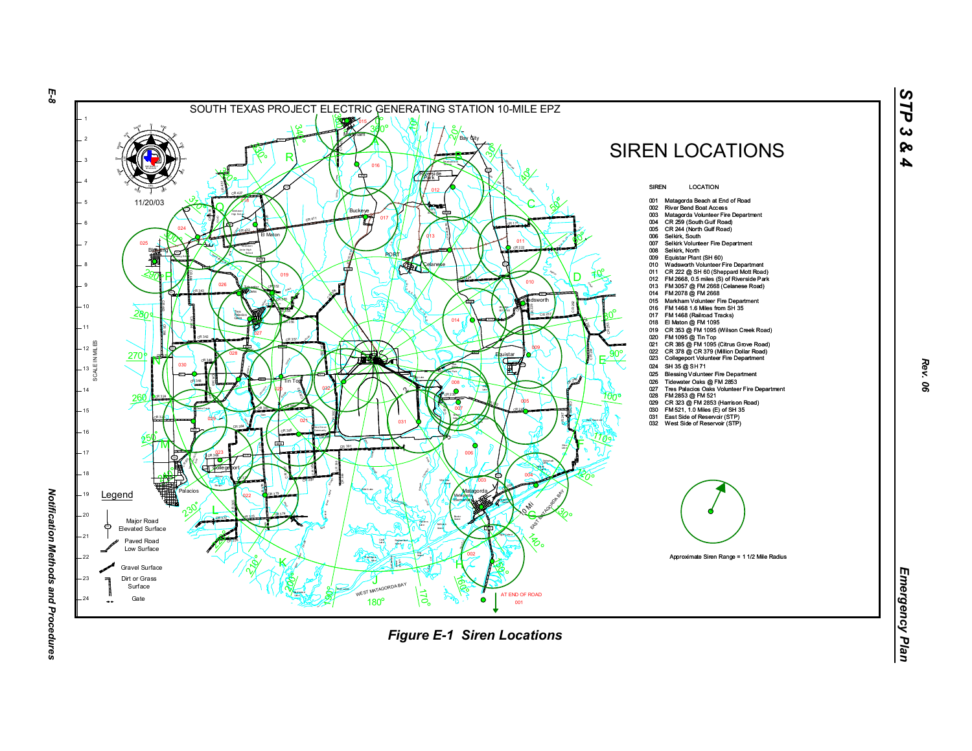

*Rev. 06*

*STP 3 & 4*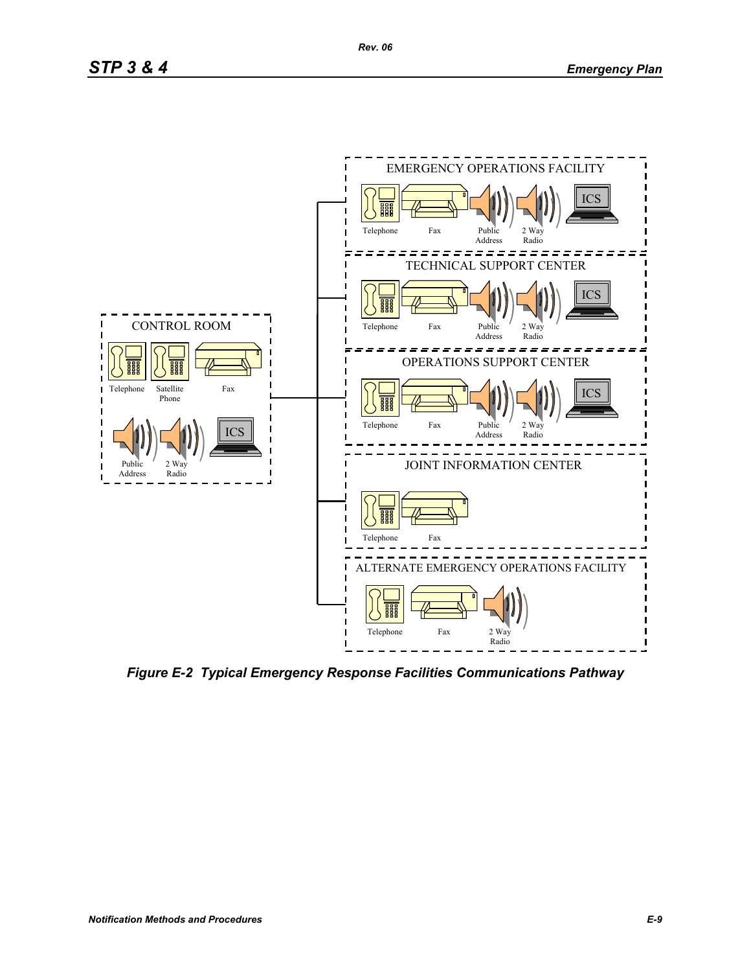

*Figure E-2 Typical Emergency Response Facilities Communications Pathway*